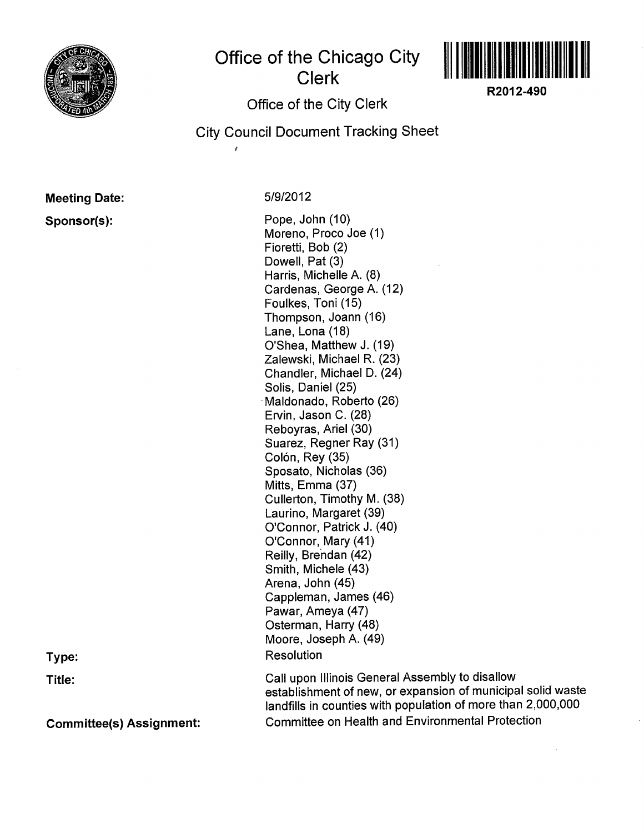

## Office of the Chicago CitY Clerk



R2012-490

## Office of the City Clerk

City Council Document Tracking Sheet

## Meeting Date:

Sponsor(s):

51912012

Pope, John (10) Moreno, Proco Joe (1) Fioretti, Bob (2) Dowell, Pat (3) Harris, Michelle A. (8) Cardenas, George A. (12) Foulkes, Toni (15) Thompson, Joann (16) Lane, Lona (18) O'Shea, Matthew J. (19) Zalewski, Michael R. (23) Chandler, Michael D. (24) Solis, Daniel (25) Maldonado, Roberto (26) Ervin, Jason C. (28) Reboyras, Ariel (30) Suarez, Regner Ray (31) Colón, Rey (35) Sposato, Nicholas (36) Mitts, Emma (37) Cullerton, Timothy M. (38) Laurino, Margaret (39) O'Connor, Patrick J. (40) O'Connor, Mary (41) Reilly, Brendan (42) Smith, Michele (43) Arena, John (45) Cappleman, James (46) Pawar, Ameya (47) Osterman, Harry (48) Moore, Joseph A. (49) **Resolution** 

Call upon Illinois General Assembly to disallow establishment of new, or expansion of municipal solid waste landfills in counties with population of more than 2,000,000 Committee on Health and Environmental Protection

Type:

Title:

Committee(s) Assignment: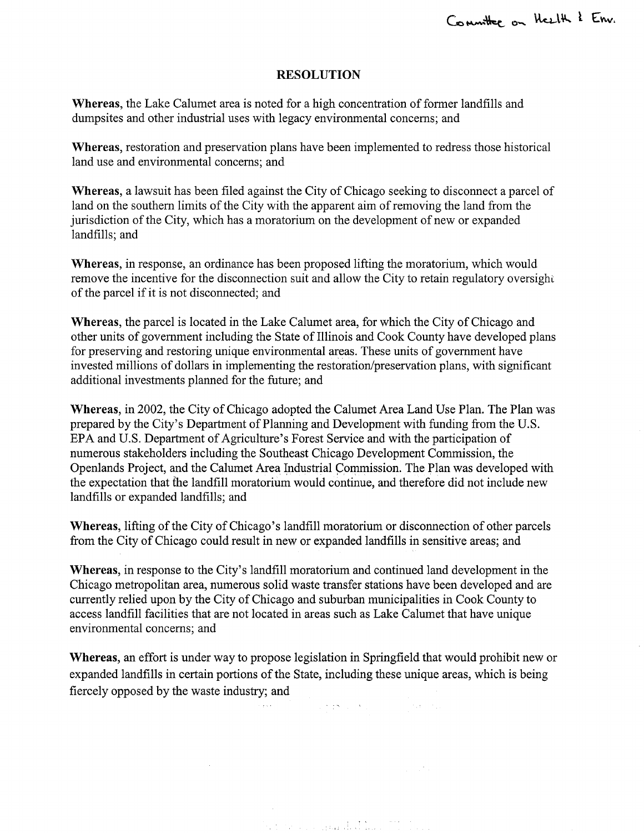## RESOLUTION

Whereas, the Lake Calumet area is noted for a high concentration of former landfills and dumpsites and other industrial uses with legacy environmental concerns; and

'Whereas, restoration and preservation plans have been implemented to redress those historical land use and environmental concems; and

Whereas, a lawsuit has been filed against the City of Chicago seeking to disconnect a parcel of land on the southern limits of the City with the apparent aim of removing the land from the jurisdiction of the City, which has a moratorium on the development of new or expanded landfills; and

Whereas, in response, an ordinance has been proposed lifting the moratorium, which would remove the incentive for the disconnection suit and allow the City to retain regulatory oversighi of the parcel if it is not disconnected; and

Whereas, the parcel is located in the Lake Calumet area, for which the City of Chicago and other units of government including the State of Illinois and Cook County have developed plans for preserving and restoring unique environmental areas. These units of government have invested millions of dollars in implementing the restoration/preservation plans, with significant additional investments planned for the future; and

Whereas, in 2002, the City of Chicago adopted the Calumet Area Land Use Plan. The Plan was prepared by the City's Department of Planning and Development with funding from the U.S. EPA and U.S. Department of Agriculture's Forest Service and with the participation of numerous stakeholders including the Southeast Chicago Development Commission, the Openlands Project, and the Calumet Area Industrial Commission. The Plan was developed with the expectation that the landfill moratorium would continue, and therefore did not include new landfills or expanded landfills; and

Whereas, lifting of the City of Chicago's landfill moratorium or disconnection of other parcels from the City of Chicago could result in new or expanded landfills in sensitive areas; and

Whereas, in response to the City's landfill moratorium and continued land development in the Chicago metropolitan area, numerous solid waste transfer stations have been developed and are currently relied upon by the City of Chicago and suburban municipalities in Cook County to access landfill facilities that are not located in areas such as Lake Calumet that have unique environmental concerns; and

Whereas, an effort is under way to propose legislation in Springfield that would prohibit new or expanded landfills in certain portions of the State, including these unique areas, which is being fiercely opposed by the waste industry; and

st Sex a gand **t** 

and the contract of the state of a

 $\sim$  10  $\sim$ 

 $\sim$